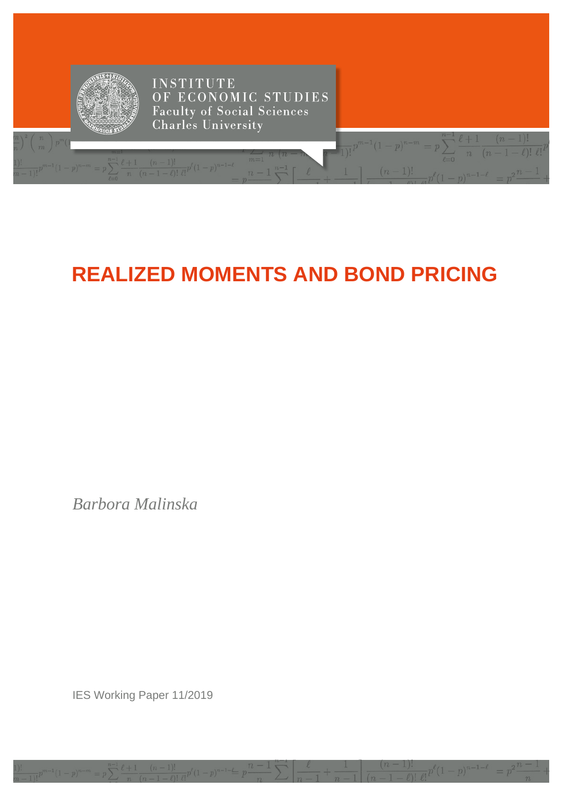

# **REALIZED MOMENTS AND BOND PRICING**

 $n)$ 

Barbora Malinska

IES Working Paper 11/2019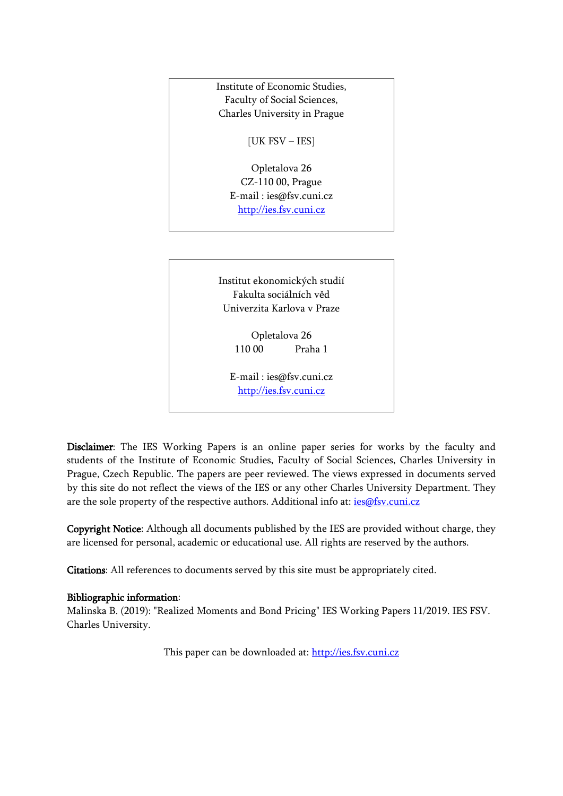

E-mail : [ies@fsv.cuni.cz](mailto:IES@Mbox.FSV.CUNI.CZ) [http://ies.fsv.cuni.cz](http://ies.fsv.cuni.cz/)

Disclaimer: The IES Working Papers is an online paper series for works by the faculty and students of the Institute of Economic Studies, Faculty of Social Sciences, Charles University in Prague, Czech Republic. The papers are peer reviewed. The views expressed in documents served by this site do not reflect the views of the IES or any other Charles University Department. They are the sole property of the respective authors. Additional info at: [ies@fsv.cuni.cz](mailto:ies@fsv.cuni.cz)

Copyright Notice: Although all documents published by the IES are provided without charge, they are licensed for personal, academic or educational use. All rights are reserved by the authors.

Citations: All references to documents served by this site must be appropriately cited.

#### Bibliographic information:

Malinska B. (2019): "Realized Moments and Bond Pricing" IES Working Papers 11/2019. IES FSV. Charles University.

This paper can be downloaded at: [http://ies.fsv.cuni.cz](http://ies.fsv.cuni.cz/)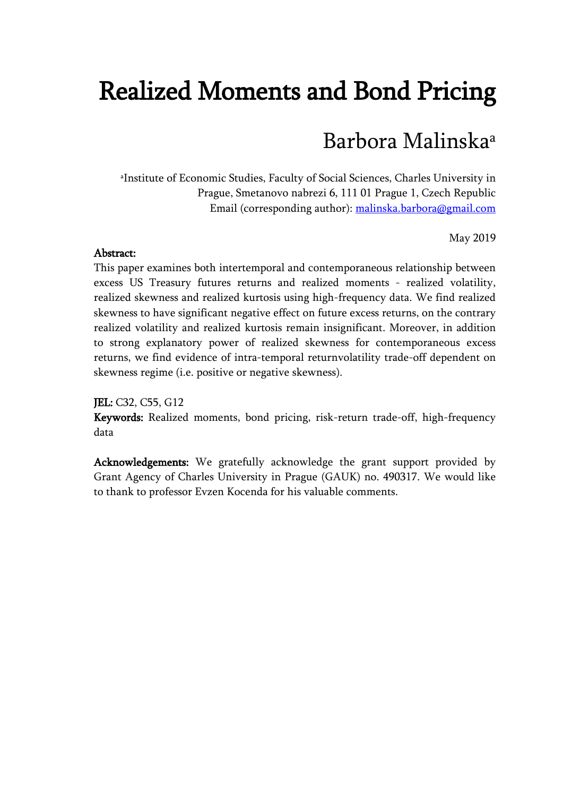# Realized Moments and Bond Pricing

# Barbora Malinskaa

a Institute of Economic Studies, Faculty of Social Sciences, Charles University in Prague, Smetanovo nabrezi 6, 111 01 Prague 1, Czech Republic Email (corresponding author): [malinska.barbora@gmail.com](mailto:malinska.barbora@gmail.com)

May 2019

#### Abstract:

This paper examines both intertemporal and contemporaneous relationship between excess US Treasury futures returns and realized moments - realized volatility, realized skewness and realized kurtosis using high-frequency data. We find realized skewness to have significant negative effect on future excess returns, on the contrary realized volatility and realized kurtosis remain insignificant. Moreover, in addition to strong explanatory power of realized skewness for contemporaneous excess returns, we find evidence of intra-temporal returnvolatility trade-off dependent on skewness regime (i.e. positive or negative skewness).

JEL: C32, C55, G12

Keywords: Realized moments, bond pricing, risk-return trade-off, high-frequency data

Acknowledgements: We gratefully acknowledge the grant support provided by Grant Agency of Charles University in Prague (GAUK) no. 490317. We would like to thank to professor Evzen Kocenda for his valuable comments.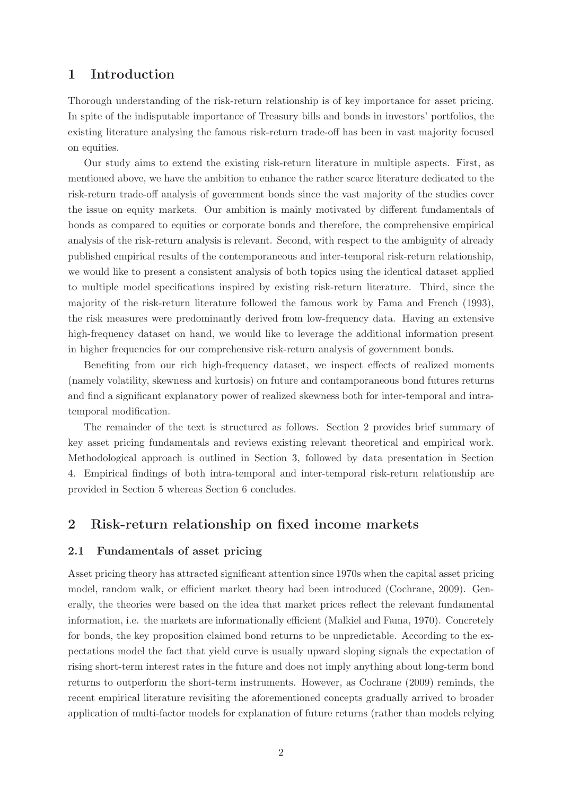#### 1 Introduction

Thorough understanding of the risk-return relationship is of key importance for asset pricing. In spite of the indisputable importance of Treasury bills and bonds in investors' portfolios, the existing literature analysing the famous risk-return trade-off has been in vast majority focused on equities.

Our study aims to extend the existing risk-return literature in multiple aspects. First, as mentioned above, we have the ambition to enhance the rather scarce literature dedicated to the risk-return trade-off analysis of government bonds since the vast majority of the studies cover the issue on equity markets. Our ambition is mainly motivated by different fundamentals of bonds as compared to equities or corporate bonds and therefore, the comprehensive empirical analysis of the risk-return analysis is relevant. Second, with respect to the ambiguity of already published empirical results of the contemporaneous and inter-temporal risk-return relationship, we would like to present a consistent analysis of both topics using the identical dataset applied to multiple model specifications inspired by existing risk-return literature. Third, since the majority of the risk-return literature followed the famous work by Fama and French (1993), the risk measures were predominantly derived from low-frequency data. Having an extensive high-frequency dataset on hand, we would like to leverage the additional information present in higher frequencies for our comprehensive risk-return analysis of government bonds.

Benefiting from our rich high-frequency dataset, we inspect effects of realized moments (namely volatility, skewness and kurtosis) on future and contamporaneous bond futures returns and find a significant explanatory power of realized skewness both for inter-temporal and intratemporal modification.

The remainder of the text is structured as follows. Section 2 provides brief summary of key asset pricing fundamentals and reviews existing relevant theoretical and empirical work. Methodological approach is outlined in Section 3, followed by data presentation in Section 4. Empirical findings of both intra-temporal and inter-temporal risk-return relationship are provided in Section 5 whereas Section 6 concludes.

#### 2 Risk-return relationship on fixed income markets

#### 2.1 Fundamentals of asset pricing

Asset pricing theory has attracted significant attention since 1970s when the capital asset pricing model, random walk, or efficient market theory had been introduced (Cochrane, 2009). Generally, the theories were based on the idea that market prices reflect the relevant fundamental information, i.e. the markets are informationally efficient (Malkiel and Fama, 1970). Concretely for bonds, the key proposition claimed bond returns to be unpredictable. According to the expectations model the fact that yield curve is usually upward sloping signals the expectation of rising short-term interest rates in the future and does not imply anything about long-term bond returns to outperform the short-term instruments. However, as Cochrane (2009) reminds, the recent empirical literature revisiting the aforementioned concepts gradually arrived to broader application of multi-factor models for explanation of future returns (rather than models relying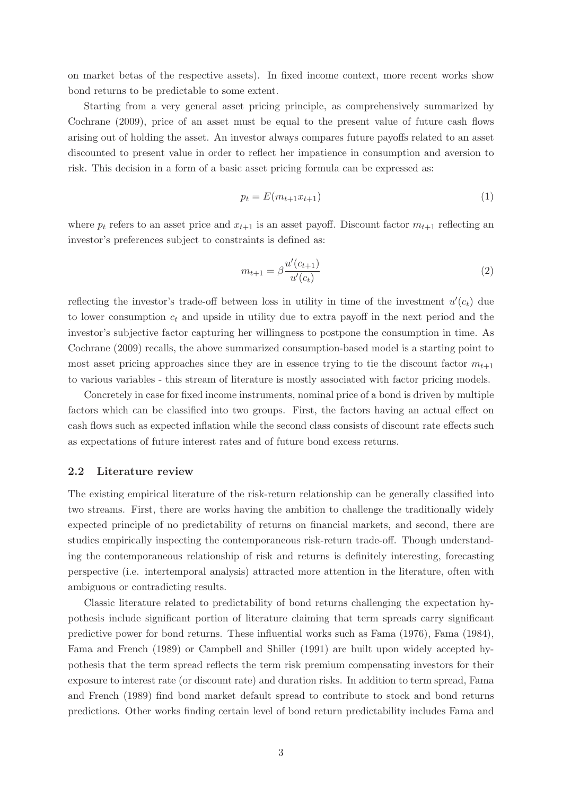on market betas of the respective assets). In fixed income context, more recent works show bond returns to be predictable to some extent.

Starting from a very general asset pricing principle, as comprehensively summarized by Cochrane (2009), price of an asset must be equal to the present value of future cash flows arising out of holding the asset. An investor always compares future payoffs related to an asset discounted to present value in order to reflect her impatience in consumption and aversion to risk. This decision in a form of a basic asset pricing formula can be expressed as:

$$
p_t = E(m_{t+1}x_{t+1})\tag{1}
$$

where  $p_t$  refers to an asset price and  $x_{t+1}$  is an asset payoff. Discount factor  $m_{t+1}$  reflecting an investor's preferences subject to constraints is defined as:

$$
m_{t+1} = \beta \frac{u'(c_{t+1})}{u'(c_t)}
$$
\n(2)

reflecting the investor's trade-off between loss in utility in time of the investment  $u'(c_t)$  due to lower consumption  $c_t$  and upside in utility due to extra payoff in the next period and the investor's subjective factor capturing her willingness to postpone the consumption in time. As Cochrane (2009) recalls, the above summarized consumption-based model is a starting point to most asset pricing approaches since they are in essence trying to tie the discount factor  $m_{t+1}$ to various variables - this stream of literature is mostly associated with factor pricing models.

Concretely in case for fixed income instruments, nominal price of a bond is driven by multiple factors which can be classified into two groups. First, the factors having an actual effect on cash flows such as expected inflation while the second class consists of discount rate effects such as expectations of future interest rates and of future bond excess returns.

#### 2.2 Literature review

The existing empirical literature of the risk-return relationship can be generally classified into two streams. First, there are works having the ambition to challenge the traditionally widely expected principle of no predictability of returns on financial markets, and second, there are studies empirically inspecting the contemporaneous risk-return trade-off. Though understanding the contemporaneous relationship of risk and returns is definitely interesting, forecasting perspective (i.e. intertemporal analysis) attracted more attention in the literature, often with ambiguous or contradicting results.

Classic literature related to predictability of bond returns challenging the expectation hypothesis include significant portion of literature claiming that term spreads carry significant predictive power for bond returns. These influential works such as Fama (1976), Fama (1984), Fama and French (1989) or Campbell and Shiller (1991) are built upon widely accepted hypothesis that the term spread reflects the term risk premium compensating investors for their exposure to interest rate (or discount rate) and duration risks. In addition to term spread, Fama and French (1989) find bond market default spread to contribute to stock and bond returns predictions. Other works finding certain level of bond return predictability includes Fama and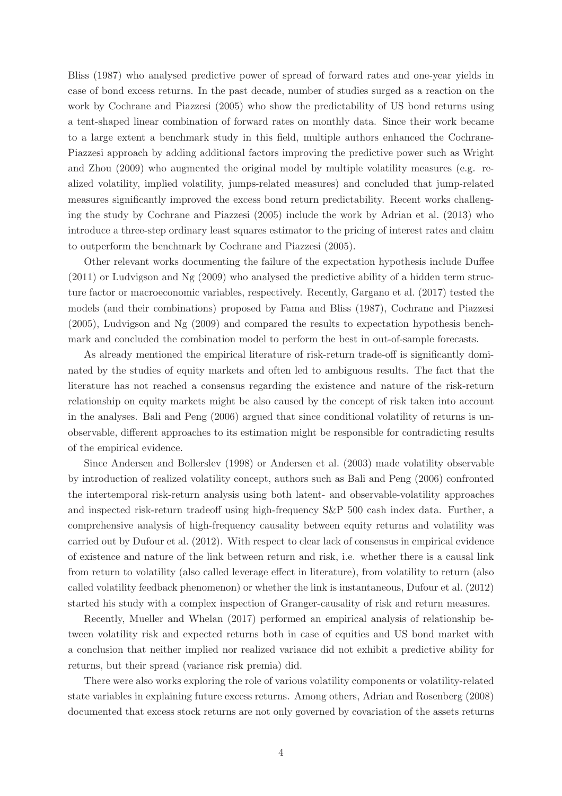Bliss (1987) who analysed predictive power of spread of forward rates and one-year yields in case of bond excess returns. In the past decade, number of studies surged as a reaction on the work by Cochrane and Piazzesi (2005) who show the predictability of US bond returns using a tent-shaped linear combination of forward rates on monthly data. Since their work became to a large extent a benchmark study in this field, multiple authors enhanced the Cochrane-Piazzesi approach by adding additional factors improving the predictive power such as Wright and Zhou (2009) who augmented the original model by multiple volatility measures (e.g. realized volatility, implied volatility, jumps-related measures) and concluded that jump-related measures significantly improved the excess bond return predictability. Recent works challenging the study by Cochrane and Piazzesi (2005) include the work by Adrian et al. (2013) who introduce a three-step ordinary least squares estimator to the pricing of interest rates and claim to outperform the benchmark by Cochrane and Piazzesi (2005).

Other relevant works documenting the failure of the expectation hypothesis include Duffee (2011) or Ludvigson and Ng (2009) who analysed the predictive ability of a hidden term structure factor or macroeconomic variables, respectively. Recently, Gargano et al. (2017) tested the models (and their combinations) proposed by Fama and Bliss (1987), Cochrane and Piazzesi (2005), Ludvigson and Ng (2009) and compared the results to expectation hypothesis benchmark and concluded the combination model to perform the best in out-of-sample forecasts.

As already mentioned the empirical literature of risk-return trade-off is significantly dominated by the studies of equity markets and often led to ambiguous results. The fact that the literature has not reached a consensus regarding the existence and nature of the risk-return relationship on equity markets might be also caused by the concept of risk taken into account in the analyses. Bali and Peng (2006) argued that since conditional volatility of returns is unobservable, different approaches to its estimation might be responsible for contradicting results of the empirical evidence.

Since Andersen and Bollerslev (1998) or Andersen et al. (2003) made volatility observable by introduction of realized volatility concept, authors such as Bali and Peng (2006) confronted the intertemporal risk-return analysis using both latent- and observable-volatility approaches and inspected risk-return tradeoff using high-frequency S&P 500 cash index data. Further, a comprehensive analysis of high-frequency causality between equity returns and volatility was carried out by Dufour et al. (2012). With respect to clear lack of consensus in empirical evidence of existence and nature of the link between return and risk, i.e. whether there is a causal link from return to volatility (also called leverage effect in literature), from volatility to return (also called volatility feedback phenomenon) or whether the link is instantaneous, Dufour et al. (2012) started his study with a complex inspection of Granger-causality of risk and return measures.

Recently, Mueller and Whelan (2017) performed an empirical analysis of relationship between volatility risk and expected returns both in case of equities and US bond market with a conclusion that neither implied nor realized variance did not exhibit a predictive ability for returns, but their spread (variance risk premia) did.

There were also works exploring the role of various volatility components or volatility-related state variables in explaining future excess returns. Among others, Adrian and Rosenberg (2008) documented that excess stock returns are not only governed by covariation of the assets returns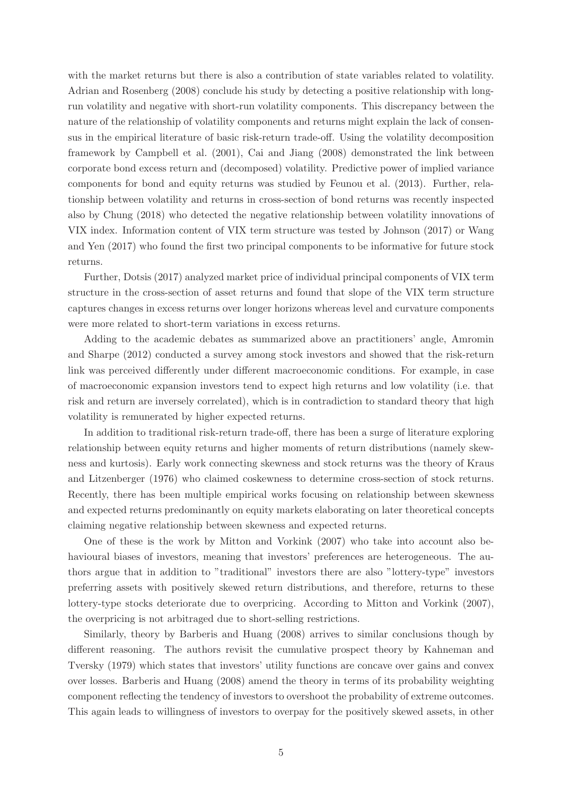with the market returns but there is also a contribution of state variables related to volatility. Adrian and Rosenberg (2008) conclude his study by detecting a positive relationship with longrun volatility and negative with short-run volatility components. This discrepancy between the nature of the relationship of volatility components and returns might explain the lack of consensus in the empirical literature of basic risk-return trade-off. Using the volatility decomposition framework by Campbell et al. (2001), Cai and Jiang (2008) demonstrated the link between corporate bond excess return and (decomposed) volatility. Predictive power of implied variance components for bond and equity returns was studied by Feunou et al. (2013). Further, relationship between volatility and returns in cross-section of bond returns was recently inspected also by Chung (2018) who detected the negative relationship between volatility innovations of VIX index. Information content of VIX term structure was tested by Johnson (2017) or Wang and Yen (2017) who found the first two principal components to be informative for future stock returns.

Further, Dotsis (2017) analyzed market price of individual principal components of VIX term structure in the cross-section of asset returns and found that slope of the VIX term structure captures changes in excess returns over longer horizons whereas level and curvature components were more related to short-term variations in excess returns.

Adding to the academic debates as summarized above an practitioners' angle, Amromin and Sharpe (2012) conducted a survey among stock investors and showed that the risk-return link was perceived differently under different macroeconomic conditions. For example, in case of macroeconomic expansion investors tend to expect high returns and low volatility (i.e. that risk and return are inversely correlated), which is in contradiction to standard theory that high volatility is remunerated by higher expected returns.

In addition to traditional risk-return trade-off, there has been a surge of literature exploring relationship between equity returns and higher moments of return distributions (namely skewness and kurtosis). Early work connecting skewness and stock returns was the theory of Kraus and Litzenberger (1976) who claimed coskewness to determine cross-section of stock returns. Recently, there has been multiple empirical works focusing on relationship between skewness and expected returns predominantly on equity markets elaborating on later theoretical concepts claiming negative relationship between skewness and expected returns.

One of these is the work by Mitton and Vorkink (2007) who take into account also behavioural biases of investors, meaning that investors' preferences are heterogeneous. The authors argue that in addition to "traditional" investors there are also "lottery-type" investors preferring assets with positively skewed return distributions, and therefore, returns to these lottery-type stocks deteriorate due to overpricing. According to Mitton and Vorkink (2007), the overpricing is not arbitraged due to short-selling restrictions.

Similarly, theory by Barberis and Huang (2008) arrives to similar conclusions though by different reasoning. The authors revisit the cumulative prospect theory by Kahneman and Tversky (1979) which states that investors' utility functions are concave over gains and convex over losses. Barberis and Huang (2008) amend the theory in terms of its probability weighting component reflecting the tendency of investors to overshoot the probability of extreme outcomes. This again leads to willingness of investors to overpay for the positively skewed assets, in other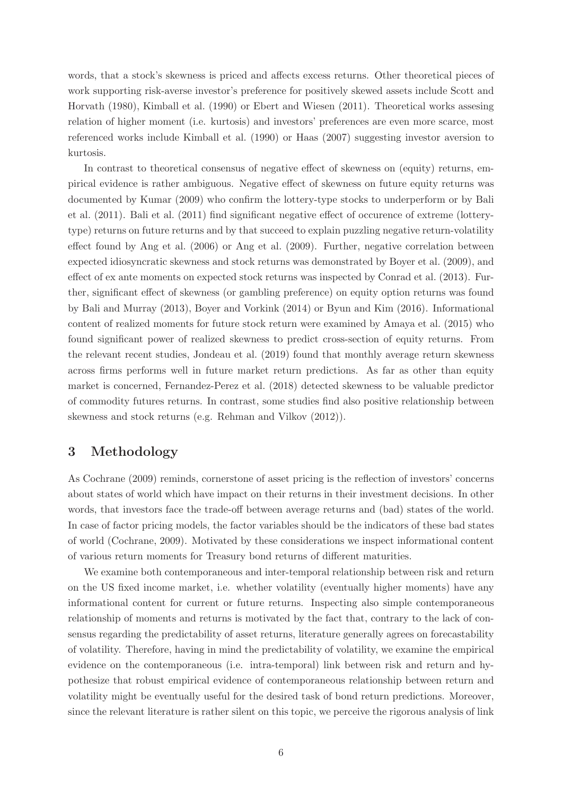words, that a stock's skewness is priced and affects excess returns. Other theoretical pieces of work supporting risk-averse investor's preference for positively skewed assets include Scott and Horvath (1980), Kimball et al. (1990) or Ebert and Wiesen (2011). Theoretical works assesing relation of higher moment (i.e. kurtosis) and investors' preferences are even more scarce, most referenced works include Kimball et al. (1990) or Haas (2007) suggesting investor aversion to kurtosis.

In contrast to theoretical consensus of negative effect of skewness on (equity) returns, empirical evidence is rather ambiguous. Negative effect of skewness on future equity returns was documented by Kumar (2009) who confirm the lottery-type stocks to underperform or by Bali et al. (2011). Bali et al. (2011) find significant negative effect of occurence of extreme (lotterytype) returns on future returns and by that succeed to explain puzzling negative return-volatility effect found by Ang et al. (2006) or Ang et al. (2009). Further, negative correlation between expected idiosyncratic skewness and stock returns was demonstrated by Boyer et al. (2009), and effect of ex ante moments on expected stock returns was inspected by Conrad et al. (2013). Further, significant effect of skewness (or gambling preference) on equity option returns was found by Bali and Murray (2013), Boyer and Vorkink (2014) or Byun and Kim (2016). Informational content of realized moments for future stock return were examined by Amaya et al. (2015) who found significant power of realized skewness to predict cross-section of equity returns. From the relevant recent studies, Jondeau et al. (2019) found that monthly average return skewness across firms performs well in future market return predictions. As far as other than equity market is concerned, Fernandez-Perez et al. (2018) detected skewness to be valuable predictor of commodity futures returns. In contrast, some studies find also positive relationship between skewness and stock returns (e.g. Rehman and Vilkov (2012)).

### 3 Methodology

As Cochrane (2009) reminds, cornerstone of asset pricing is the reflection of investors' concerns about states of world which have impact on their returns in their investment decisions. In other words, that investors face the trade-off between average returns and (bad) states of the world. In case of factor pricing models, the factor variables should be the indicators of these bad states of world (Cochrane, 2009). Motivated by these considerations we inspect informational content of various return moments for Treasury bond returns of different maturities.

We examine both contemporaneous and inter-temporal relationship between risk and return on the US fixed income market, i.e. whether volatility (eventually higher moments) have any informational content for current or future returns. Inspecting also simple contemporaneous relationship of moments and returns is motivated by the fact that, contrary to the lack of consensus regarding the predictability of asset returns, literature generally agrees on forecastability of volatility. Therefore, having in mind the predictability of volatility, we examine the empirical evidence on the contemporaneous (i.e. intra-temporal) link between risk and return and hypothesize that robust empirical evidence of contemporaneous relationship between return and volatility might be eventually useful for the desired task of bond return predictions. Moreover, since the relevant literature is rather silent on this topic, we perceive the rigorous analysis of link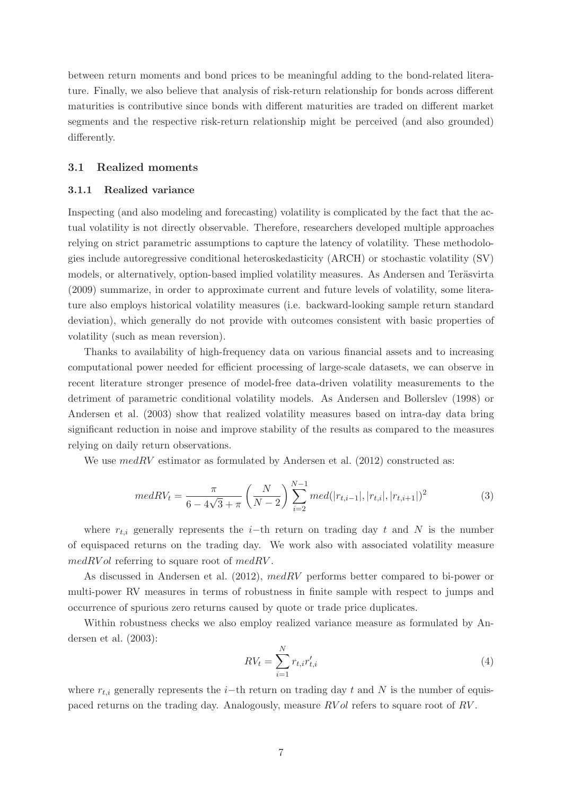between return moments and bond prices to be meaningful adding to the bond-related literature. Finally, we also believe that analysis of risk-return relationship for bonds across different maturities is contributive since bonds with different maturities are traded on different market segments and the respective risk-return relationship might be perceived (and also grounded) differently.

#### 3.1 Realized moments

#### 3.1.1 Realized variance

Inspecting (and also modeling and forecasting) volatility is complicated by the fact that the actual volatility is not directly observable. Therefore, researchers developed multiple approaches relying on strict parametric assumptions to capture the latency of volatility. These methodologies include autoregressive conditional heteroskedasticity (ARCH) or stochastic volatility (SV) models, or alternatively, option-based implied volatility measures. As Andersen and Teräsvirta (2009) summarize, in order to approximate current and future levels of volatility, some literature also employs historical volatility measures (i.e. backward-looking sample return standard deviation), which generally do not provide with outcomes consistent with basic properties of volatility (such as mean reversion).

Thanks to availability of high-frequency data on various financial assets and to increasing computational power needed for efficient processing of large-scale datasets, we can observe in recent literature stronger presence of model-free data-driven volatility measurements to the detriment of parametric conditional volatility models. As Andersen and Bollerslev (1998) or Andersen et al. (2003) show that realized volatility measures based on intra-day data bring significant reduction in noise and improve stability of the results as compared to the measures relying on daily return observations.

We use  $medRV$  estimator as formulated by Andersen et al. (2012) constructed as:

$$
medRV_{t} = \frac{\pi}{6 - 4\sqrt{3} + \pi} \left(\frac{N}{N - 2}\right) \sum_{i=2}^{N-1} med(|r_{t,i-1}|, |r_{t,i}|, |r_{t,i+1}|)^{2}
$$
(3)

where  $r_{t,i}$  generally represents the i–th return on trading day t and N is the number of equispaced returns on the trading day. We work also with associated volatility measure  $medRVol$  referring to square root of  $medRV$ .

As discussed in Andersen et al. (2012), medRV performs better compared to bi-power or multi-power RV measures in terms of robustness in finite sample with respect to jumps and occurrence of spurious zero returns caused by quote or trade price duplicates.

Within robustness checks we also employ realized variance measure as formulated by Andersen et al. (2003):

$$
RV_t = \sum_{i=1}^{N} r_{t,i} r'_{t,i}
$$
\n(4)

where  $r_{t,i}$  generally represents the i–th return on trading day t and N is the number of equispaced returns on the trading day. Analogously, measure RV ol refers to square root of RV .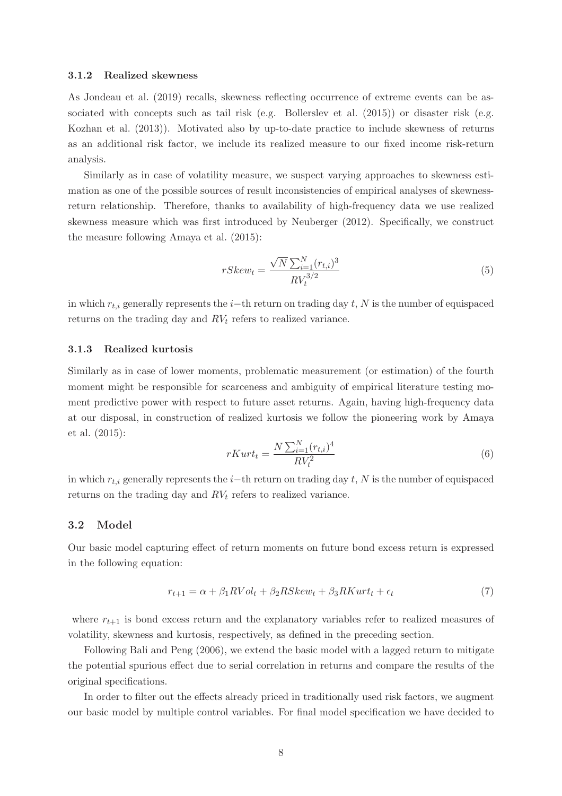#### 3.1.2 Realized skewness

As Jondeau et al. (2019) recalls, skewness reflecting occurrence of extreme events can be associated with concepts such as tail risk (e.g. Bollerslev et al. (2015)) or disaster risk (e.g. Kozhan et al. (2013)). Motivated also by up-to-date practice to include skewness of returns as an additional risk factor, we include its realized measure to our fixed income risk-return analysis.

Similarly as in case of volatility measure, we suspect varying approaches to skewness estimation as one of the possible sources of result inconsistencies of empirical analyses of skewnessreturn relationship. Therefore, thanks to availability of high-frequency data we use realized skewness measure which was first introduced by Neuberger (2012). Specifically, we construct the measure following Amaya et al. (2015):

$$
rSkew_t = \frac{\sqrt{N} \sum_{i=1}^{N} (r_{t,i})^3}{RV_t^{3/2}}
$$
\n(5)

in which  $r_{t,i}$  generally represents the i−th return on trading day t, N is the number of equispaced returns on the trading day and  $RV_t$  refers to realized variance.

#### 3.1.3 Realized kurtosis

Similarly as in case of lower moments, problematic measurement (or estimation) of the fourth moment might be responsible for scarceness and ambiguity of empirical literature testing moment predictive power with respect to future asset returns. Again, having high-frequency data at our disposal, in construction of realized kurtosis we follow the pioneering work by Amaya et al. (2015):

$$
rKurt_t = \frac{N\sum_{i=1}^{N}(r_{t,i})^4}{RV_t^2}
$$
\n
$$
(6)
$$

in which  $r_{t,i}$  generally represents the i–th return on trading day t, N is the number of equispaced returns on the trading day and  $RV<sub>t</sub>$  refers to realized variance.

#### 3.2 Model

Our basic model capturing effect of return moments on future bond excess return is expressed in the following equation:

$$
r_{t+1} = \alpha + \beta_1 RVol_t + \beta_2 RSkew_t + \beta_3 RKurt_t + \epsilon_t \tag{7}
$$

where  $r_{t+1}$  is bond excess return and the explanatory variables refer to realized measures of volatility, skewness and kurtosis, respectively, as defined in the preceding section.

Following Bali and Peng (2006), we extend the basic model with a lagged return to mitigate the potential spurious effect due to serial correlation in returns and compare the results of the original specifications.

In order to filter out the effects already priced in traditionally used risk factors, we augment our basic model by multiple control variables. For final model specification we have decided to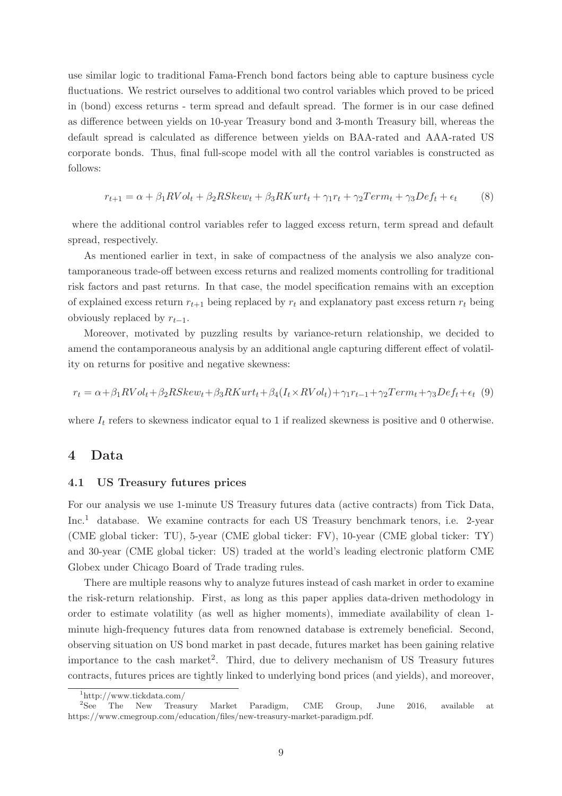use similar logic to traditional Fama-French bond factors being able to capture business cycle fluctuations. We restrict ourselves to additional two control variables which proved to be priced in (bond) excess returns - term spread and default spread. The former is in our case defined as difference between yields on 10-year Treasury bond and 3-month Treasury bill, whereas the default spread is calculated as difference between yields on BAA-rated and AAA-rated US corporate bonds. Thus, final full-scope model with all the control variables is constructed as follows:

$$
r_{t+1} = \alpha + \beta_1 RVol_t + \beta_2 RSkew_t + \beta_3 RKurt_t + \gamma_1 r_t + \gamma_2 Term_t + \gamma_3 Def_t + \epsilon_t
$$
 (8)

where the additional control variables refer to lagged excess return, term spread and default spread, respectively.

As mentioned earlier in text, in sake of compactness of the analysis we also analyze contamporaneous trade-off between excess returns and realized moments controlling for traditional risk factors and past returns. In that case, the model specification remains with an exception of explained excess return  $r_{t+1}$  being replaced by  $r_t$  and explanatory past excess return  $r_t$  being obviously replaced by  $r_{t-1}$ .

Moreover, motivated by puzzling results by variance-return relationship, we decided to amend the contamporaneous analysis by an additional angle capturing different effect of volatility on returns for positive and negative skewness:

$$
r_t = \alpha + \beta_1 RVol_t + \beta_2 RSkew_t + \beta_3 RKurt_t + \beta_4(I_t \times RVol_t) + \gamma_1 r_{t-1} + \gamma_2 Term_t + \gamma_3 Def_t + \epsilon_t
$$
 (9)

where  $I_t$  refers to skewness indicator equal to 1 if realized skewness is positive and 0 otherwise.

#### 4 Data

#### 4.1 US Treasury futures prices

For our analysis we use 1-minute US Treasury futures data (active contracts) from Tick Data, Inc.<sup>1</sup> database. We examine contracts for each US Treasury benchmark tenors, i.e. 2-year (CME global ticker: TU), 5-year (CME global ticker: FV), 10-year (CME global ticker: TY) and 30-year (CME global ticker: US) traded at the world's leading electronic platform CME Globex under Chicago Board of Trade trading rules.

There are multiple reasons why to analyze futures instead of cash market in order to examine the risk-return relationship. First, as long as this paper applies data-driven methodology in order to estimate volatility (as well as higher moments), immediate availability of clean 1 minute high-frequency futures data from renowned database is extremely beneficial. Second, observing situation on US bond market in past decade, futures market has been gaining relative importance to the cash market<sup>2</sup>. Third, due to delivery mechanism of US Treasury futures contracts, futures prices are tightly linked to underlying bond prices (and yields), and moreover,

 $\frac{1 \text{http://www.tickdata.com/}}{2 \text{See}}$  The New Treas

<sup>2</sup>See The New Treasury Market Paradigm, CME Group, June 2016, available at https://www.cmegroup.com/education/files/new-treasury-market-paradigm.pdf.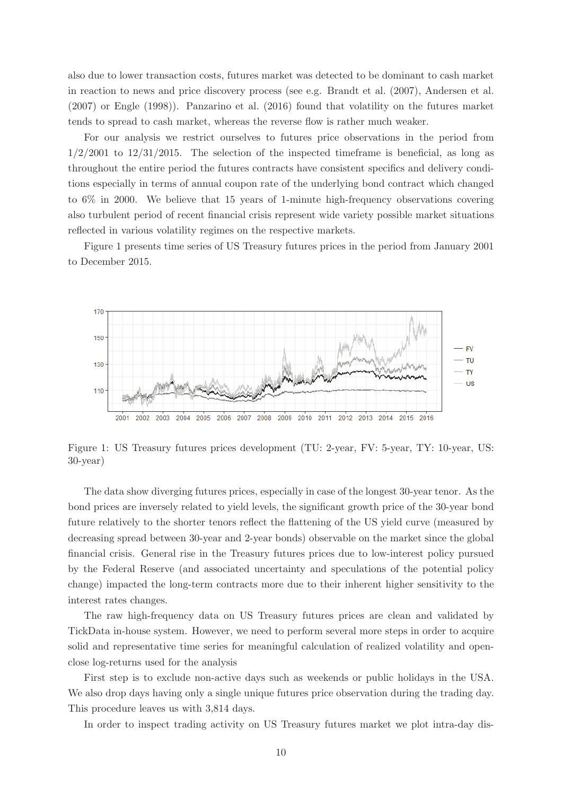also due to lower transaction costs, futures market was detected to be dominant to cash market in reaction to news and price discovery process (see e.g. Brandt et al. (2007), Andersen et al. (2007) or Engle (1998)). Panzarino et al. (2016) found that volatility on the futures market tends to spread to cash market, whereas the reverse flow is rather much weaker.

For our analysis we restrict ourselves to futures price observations in the period from  $1/2/2001$  to  $12/31/2015$ . The selection of the inspected timeframe is beneficial, as long as throughout the entire period the futures contracts have consistent specifics and delivery conditions especially in terms of annual coupon rate of the underlying bond contract which changed to 6% in 2000. We believe that 15 years of 1-minute high-frequency observations covering also turbulent period of recent financial crisis represent wide variety possible market situations reflected in various volatility regimes on the respective markets.

Figure 1 presents time series of US Treasury futures prices in the period from January 2001 to December 2015.



Figure 1: US Treasury futures prices development (TU: 2-year, FV: 5-year, TY: 10-year, US: 30-year)

The data show diverging futures prices, especially in case of the longest 30-year tenor. As the bond prices are inversely related to yield levels, the significant growth price of the 30-year bond future relatively to the shorter tenors reflect the flattening of the US yield curve (measured by decreasing spread between 30-year and 2-year bonds) observable on the market since the global financial crisis. General rise in the Treasury futures prices due to low-interest policy pursued by the Federal Reserve (and associated uncertainty and speculations of the potential policy change) impacted the long-term contracts more due to their inherent higher sensitivity to the interest rates changes.

The raw high-frequency data on US Treasury futures prices are clean and validated by TickData in-house system. However, we need to perform several more steps in order to acquire solid and representative time series for meaningful calculation of realized volatility and openclose log-returns used for the analysis

First step is to exclude non-active days such as weekends or public holidays in the USA. We also drop days having only a single unique futures price observation during the trading day. This procedure leaves us with 3,814 days.

In order to inspect trading activity on US Treasury futures market we plot intra-day dis-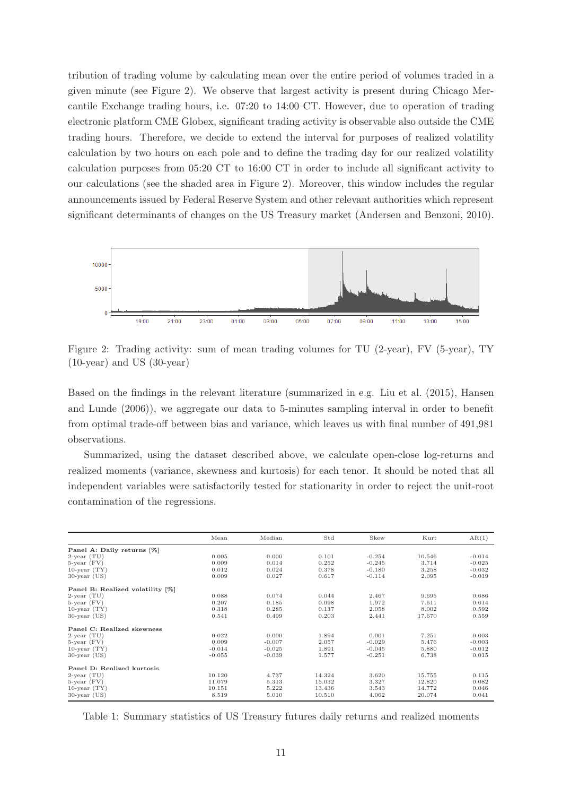tribution of trading volume by calculating mean over the entire period of volumes traded in a given minute (see Figure 2). We observe that largest activity is present during Chicago Mercantile Exchange trading hours, i.e. 07:20 to 14:00 CT. However, due to operation of trading electronic platform CME Globex, significant trading activity is observable also outside the CME trading hours. Therefore, we decide to extend the interval for purposes of realized volatility calculation by two hours on each pole and to define the trading day for our realized volatility calculation purposes from 05:20 CT to 16:00 CT in order to include all significant activity to our calculations (see the shaded area in Figure 2). Moreover, this window includes the regular announcements issued by Federal Reserve System and other relevant authorities which represent significant determinants of changes on the US Treasury market (Andersen and Benzoni, 2010).



Figure 2: Trading activity: sum of mean trading volumes for TU (2-year), FV (5-year), TY (10-year) and US (30-year)

Based on the findings in the relevant literature (summarized in e.g. Liu et al. (2015), Hansen and Lunde (2006)), we aggregate our data to 5-minutes sampling interval in order to benefit from optimal trade-off between bias and variance, which leaves us with final number of 491,981 observations.

Summarized, using the dataset described above, we calculate open-close log-returns and realized moments (variance, skewness and kurtosis) for each tenor. It should be noted that all independent variables were satisfactorily tested for stationarity in order to reject the unit-root contamination of the regressions.

|                                  | Mean     | Median   | Std    | Skew     | Kurt   | AR(1)    |
|----------------------------------|----------|----------|--------|----------|--------|----------|
| Panel A: Daily returns [%]       |          |          |        |          |        |          |
| $2$ -year $(TU)$                 | 0.005    | 0.000    | 0.101  | $-0.254$ | 10.546 | $-0.014$ |
| $5$ -year $(FV)$                 | 0.009    | 0.014    | 0.252  | $-0.245$ | 3.714  | $-0.025$ |
| $10$ -year $(TY)$                | 0.012    | 0.024    | 0.378  | $-0.180$ | 3.258  | $-0.032$ |
| $30$ -year (US)                  | 0.009    | 0.027    | 0.617  | $-0.114$ | 2.095  | $-0.019$ |
| Panel B: Realized volatility [%] |          |          |        |          |        |          |
| $2$ -year $(TU)$                 | 0.088    | 0.074    | 0.044  | 2.467    | 9.695  | 0.686    |
| $5$ -year $(FV)$                 | 0.207    | 0.185    | 0.098  | 1.972    | 7.611  | 0.614    |
| $10$ -year $(TY)$                | 0.318    | 0.285    | 0.137  | 2.058    | 8.002  | 0.592    |
| $30$ -year (US)                  | 0.541    | 0.499    | 0.203  | 2.441    | 17.670 | 0.559    |
| Panel C: Realized skewness       |          |          |        |          |        |          |
| $2$ -year $(TU)$                 | 0.022    | 0.000    | 1.894  | 0.001    | 7.251  | 0.003    |
| $5$ -year $(FV)$                 | 0.009    | $-0.007$ | 2.057  | $-0.029$ | 5.476  | $-0.003$ |
| $10$ -year $(TY)$                | $-0.014$ | $-0.025$ | 1.891  | $-0.045$ | 5.880  | $-0.012$ |
| $30$ -year (US)                  | $-0.055$ | $-0.039$ | 1.577  | $-0.251$ | 6.738  | 0.015    |
| Panel D: Realized kurtosis       |          |          |        |          |        |          |
| $2$ -year $(TU)$                 | 10.120   | 4.737    | 14.324 | 3.620    | 15.755 | 0.115    |
| $5$ -year $(FV)$                 | 11.079   | 5.313    | 15.032 | 3.327    | 12.820 | 0.082    |
| $10$ -year $(TY)$                | 10.151   | 5.222    | 13.436 | 3.543    | 14.772 | 0.046    |
| $30$ -year (US)                  | 8.519    | 5.010    | 10.510 | 4.062    | 20.074 | 0.041    |

Table 1: Summary statistics of US Treasury futures daily returns and realized moments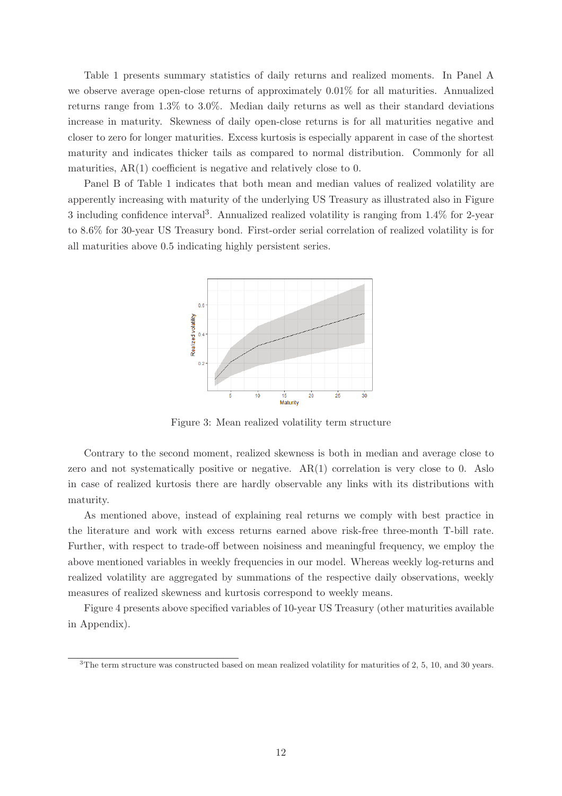Table 1 presents summary statistics of daily returns and realized moments. In Panel A we observe average open-close returns of approximately 0.01% for all maturities. Annualized returns range from 1.3% to 3.0%. Median daily returns as well as their standard deviations increase in maturity. Skewness of daily open-close returns is for all maturities negative and closer to zero for longer maturities. Excess kurtosis is especially apparent in case of the shortest maturity and indicates thicker tails as compared to normal distribution. Commonly for all maturities, AR(1) coefficient is negative and relatively close to 0.

Panel B of Table 1 indicates that both mean and median values of realized volatility are apperently increasing with maturity of the underlying US Treasury as illustrated also in Figure 3 including confidence interval<sup>3</sup> . Annualized realized volatility is ranging from 1.4% for 2-year to 8.6% for 30-year US Treasury bond. First-order serial correlation of realized volatility is for all maturities above 0.5 indicating highly persistent series.



Figure 3: Mean realized volatility term structure

Contrary to the second moment, realized skewness is both in median and average close to zero and not systematically positive or negative. AR(1) correlation is very close to 0. Aslo in case of realized kurtosis there are hardly observable any links with its distributions with maturity.

As mentioned above, instead of explaining real returns we comply with best practice in the literature and work with excess returns earned above risk-free three-month T-bill rate. Further, with respect to trade-off between noisiness and meaningful frequency, we employ the above mentioned variables in weekly frequencies in our model. Whereas weekly log-returns and realized volatility are aggregated by summations of the respective daily observations, weekly measures of realized skewness and kurtosis correspond to weekly means.

Figure 4 presents above specified variables of 10-year US Treasury (other maturities available in Appendix).

<sup>&</sup>lt;sup>3</sup>The term structure was constructed based on mean realized volatility for maturities of 2, 5, 10, and 30 years.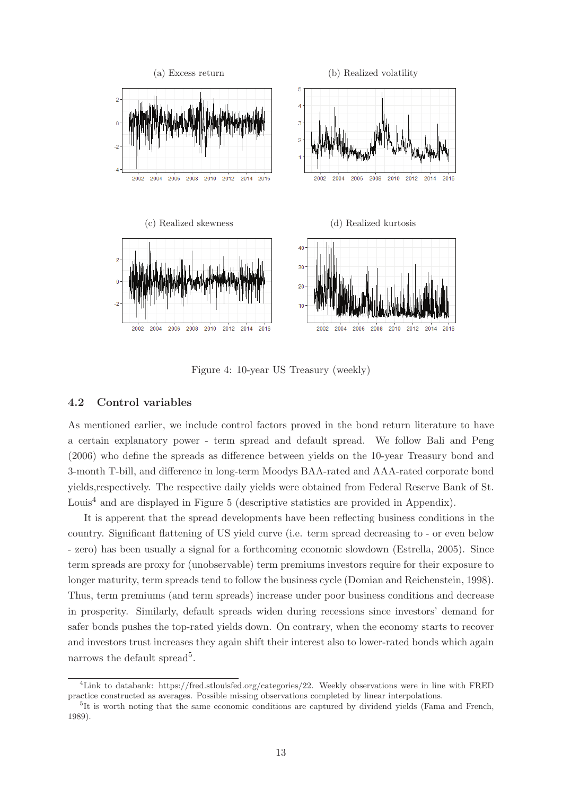

Figure 4: 10-year US Treasury (weekly)

#### 4.2 Control variables

As mentioned earlier, we include control factors proved in the bond return literature to have a certain explanatory power - term spread and default spread. We follow Bali and Peng (2006) who define the spreads as difference between yields on the 10-year Treasury bond and 3-month T-bill, and difference in long-term Moodys BAA-rated and AAA-rated corporate bond yields,respectively. The respective daily yields were obtained from Federal Reserve Bank of St. Louis<sup>4</sup> and are displayed in Figure 5 (descriptive statistics are provided in Appendix).

It is apperent that the spread developments have been reflecting business conditions in the country. Significant flattening of US yield curve (i.e. term spread decreasing to - or even below - zero) has been usually a signal for a forthcoming economic slowdown (Estrella, 2005). Since term spreads are proxy for (unobservable) term premiums investors require for their exposure to longer maturity, term spreads tend to follow the business cycle (Domian and Reichenstein, 1998). Thus, term premiums (and term spreads) increase under poor business conditions and decrease in prosperity. Similarly, default spreads widen during recessions since investors' demand for safer bonds pushes the top-rated yields down. On contrary, when the economy starts to recover and investors trust increases they again shift their interest also to lower-rated bonds which again narrows the default spread<sup>5</sup>.

<sup>4</sup>Link to databank: https://fred.stlouisfed.org/categories/22. Weekly observations were in line with FRED practice constructed as averages. Possible missing observations completed by linear interpolations.

<sup>&</sup>lt;sup>5</sup>It is worth noting that the same economic conditions are captured by dividend yields (Fama and French, 1989).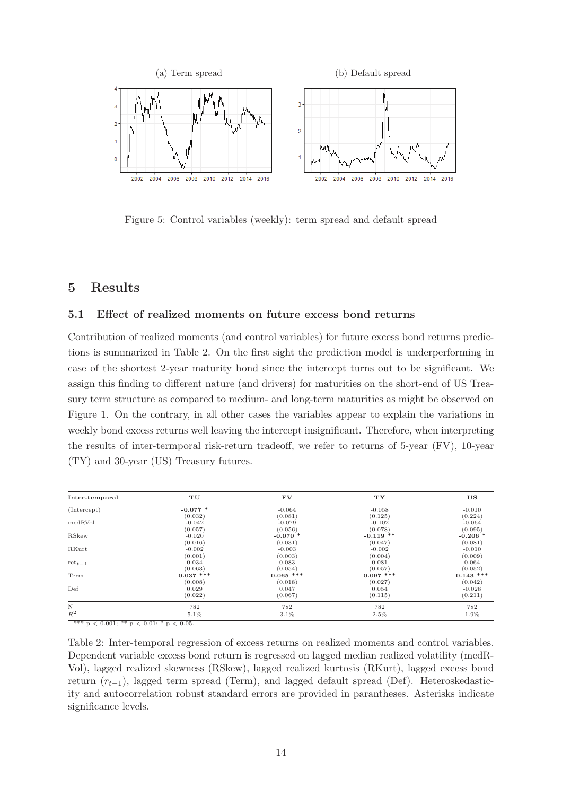

Figure 5: Control variables (weekly): term spread and default spread

## 5 Results

#### 5.1 Effect of realized moments on future excess bond returns

Contribution of realized moments (and control variables) for future excess bond returns predictions is summarized in Table 2. On the first sight the prediction model is underperforming in case of the shortest 2-year maturity bond since the intercept turns out to be significant. We assign this finding to different nature (and drivers) for maturities on the short-end of US Treasury term structure as compared to medium- and long-term maturities as might be observed on Figure 1. On the contrary, in all other cases the variables appear to explain the variations in weekly bond excess returns well leaving the intercept insignificant. Therefore, when interpreting the results of inter-termporal risk-return tradeoff, we refer to returns of 5-year (FV), 10-year (TY) and 30-year (US) Treasury futures.

| Inter-temporal | TU          | <b>FV</b>   | TY          | US          |
|----------------|-------------|-------------|-------------|-------------|
| (Intercept)    | $-0.077*$   | $-0.064$    | $-0.058$    | $-0.010$    |
|                | (0.032)     | (0.081)     | (0.125)     | (0.224)     |
| medRVol        | $-0.042$    | $-0.079$    | $-0.102$    | $-0.064$    |
|                | (0.057)     | (0.056)     | (0.078)     | (0.095)     |
| RSkew          | $-0.020$    | $-0.070*$   | $-0.119$ ** | $-0.206$ *  |
|                | (0.016)     | (0.031)     | (0.047)     | (0.081)     |
| RKurt          | $-0.002$    | $-0.003$    | $-0.002$    | $-0.010$    |
|                | (0.001)     | (0.003)     | (0.004)     | (0.009)     |
| $ret_{t-1}$    | 0.034       | 0.083       | 0.081       | 0.064       |
|                | (0.063)     | (0.054)     | (0.057)     | (0.052)     |
| Term           | $0.037$ *** | $0.065$ *** | $0.097$ *** | $0.143$ *** |
|                | (0.008)     | (0.018)     | (0.027)     | (0.042)     |
| Def            | 0.029       | 0.047       | 0.054       | $-0.028$    |
|                | (0.022)     | (0.067)     | (0.115)     | (0.211)     |
| $\rm N$        | 782         | 782         | 782         | 782         |
| $R^2$          | 5.1%        | $3.1\%$     | 2.5%        | 1.9%        |

\*\*\*  $p < 0.001$ ; \*\*  $p < 0.01$ ; \*  $p < 0.05$ .

Table 2: Inter-temporal regression of excess returns on realized moments and control variables. Dependent variable excess bond return is regressed on lagged median realized volatility (medR-Vol), lagged realized skewness (RSkew), lagged realized kurtosis (RKurt), lagged excess bond return  $(r_{t-1})$ , lagged term spread (Term), and lagged default spread (Def). Heteroskedasticity and autocorrelation robust standard errors are provided in parantheses. Asterisks indicate significance levels.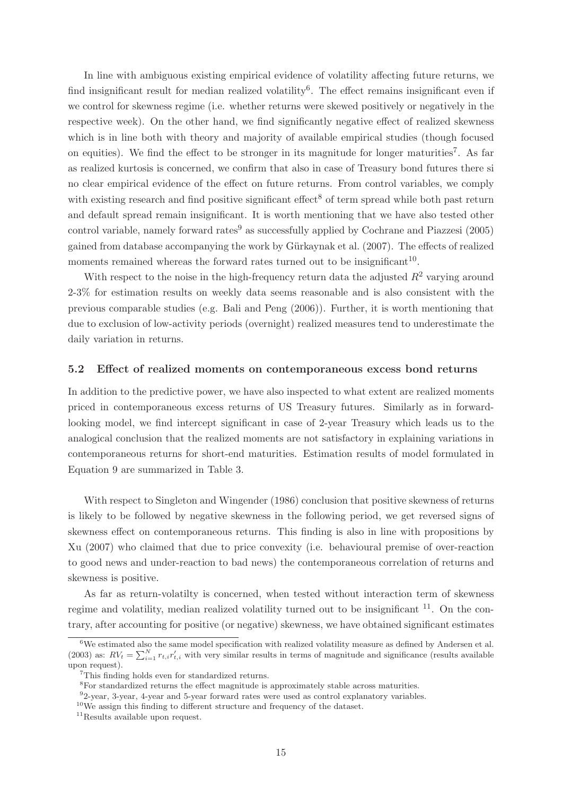In line with ambiguous existing empirical evidence of volatility affecting future returns, we find insignificant result for median realized volatility<sup>6</sup>. The effect remains insignificant even if we control for skewness regime (i.e. whether returns were skewed positively or negatively in the respective week). On the other hand, we find significantly negative effect of realized skewness which is in line both with theory and majority of available empirical studies (though focused on equities). We find the effect to be stronger in its magnitude for longer maturities<sup>7</sup>. As far as realized kurtosis is concerned, we confirm that also in case of Treasury bond futures there si no clear empirical evidence of the effect on future returns. From control variables, we comply with existing research and find positive significant effect<sup>8</sup> of term spread while both past return and default spread remain insignificant. It is worth mentioning that we have also tested other control variable, namely forward rates<sup>9</sup> as successfully applied by Cochrane and Piazzesi (2005) gained from database accompanying the work by Gürkaynak et al. (2007). The effects of realized moments remained whereas the forward rates turned out to be insignificant<sup>10</sup>.

With respect to the noise in the high-frequency return data the adjusted  $R^2$  varying around 2-3% for estimation results on weekly data seems reasonable and is also consistent with the previous comparable studies (e.g. Bali and Peng (2006)). Further, it is worth mentioning that due to exclusion of low-activity periods (overnight) realized measures tend to underestimate the daily variation in returns.

#### 5.2 Effect of realized moments on contemporaneous excess bond returns

In addition to the predictive power, we have also inspected to what extent are realized moments priced in contemporaneous excess returns of US Treasury futures. Similarly as in forwardlooking model, we find intercept significant in case of 2-year Treasury which leads us to the analogical conclusion that the realized moments are not satisfactory in explaining variations in contemporaneous returns for short-end maturities. Estimation results of model formulated in Equation 9 are summarized in Table 3.

With respect to Singleton and Wingender (1986) conclusion that positive skewness of returns is likely to be followed by negative skewness in the following period, we get reversed signs of skewness effect on contemporaneous returns. This finding is also in line with propositions by Xu (2007) who claimed that due to price convexity (i.e. behavioural premise of over-reaction to good news and under-reaction to bad news) the contemporaneous correlation of returns and skewness is positive.

As far as return-volatilty is concerned, when tested without interaction term of skewness regime and volatility, median realized volatility turned out to be insignificant  $11$ . On the contrary, after accounting for positive (or negative) skewness, we have obtained significant estimates

 ${}^{6}$ We estimated also the same model specification with realized volatility measure as defined by Andersen et al. (2003) as:  $RV_t = \sum_{i=1}^{N} r_{t,i} r'_{t,i}$  with very similar results in terms of magnitude and significance (results available upon request).

<sup>&</sup>lt;sup>7</sup>This finding holds even for standardized returns.

<sup>8</sup>For standardized returns the effect magnitude is approximately stable across maturities.

<sup>&</sup>lt;sup>9</sup>2-year, 3-year, 4-year and 5-year forward rates were used as control explanatory variables.

<sup>&</sup>lt;sup>10</sup>We assign this finding to different structure and frequency of the dataset.

<sup>&</sup>lt;sup>11</sup>Results available upon request.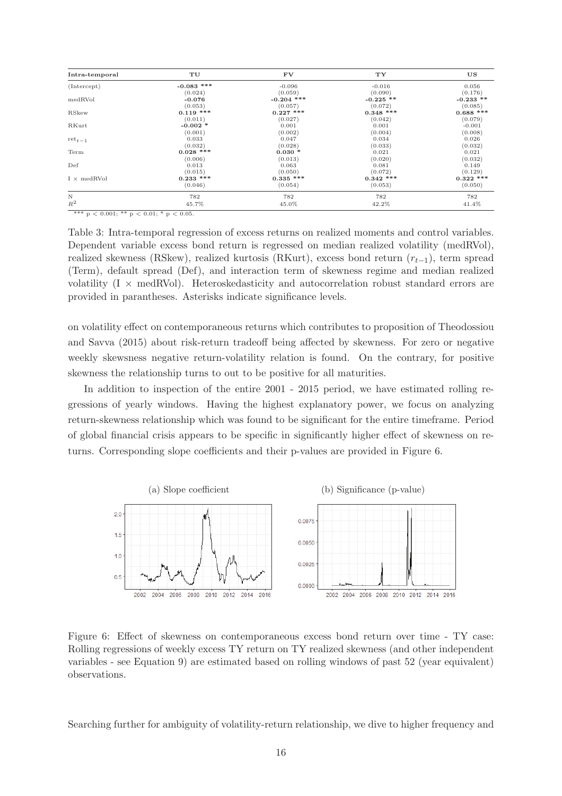| Intra-temporal       | TU           | <b>FV</b>    | TY.         | US          |
|----------------------|--------------|--------------|-------------|-------------|
| (Intercept)          | $-0.083$ *** | $-0.096$     | $-0.016$    | 0.056       |
|                      | (0.024)      | (0.059)      | (0.090)     | (0.176)     |
| medRVol              | $-0.076$     | $-0.204$ *** | $-0.225$ ** | $-0.233$ ** |
|                      | (0.053)      | (0.057)      | (0.072)     | (0.085)     |
| RSkew                | $0.119$ ***  | $0.227$ ***  | $0.348$ *** | $0.688$ *** |
|                      | (0.011)      | (0.027)      | (0.042)     | (0.079)     |
| RKurt                | $-0.002$ *   | 0.001        | 0.001       | $-0.001$    |
|                      | (0.001)      | (0.002)      | (0.004)     | (0.008)     |
| $\mathrm{ret}_{t-1}$ | 0.033        | 0.047        | 0.034       | 0.026       |
|                      | (0.032)      | (0.028)      | (0.033)     | (0.032)     |
| Term                 | $0.028$ ***  | $0.030*$     | 0.021       | 0.021       |
|                      | (0.006)      | (0.013)      | (0.020)     | (0.032)     |
| Def                  | 0.013        | 0.063        | 0.081       | 0.149       |
|                      | (0.015)      | (0.050)      | (0.072)     | (0.129)     |
| $I \times medRVol$   | $0.233$ ***  | $0.335$ ***  | $0.342$ *** | $0.322$ *** |
|                      | (0.046)      | (0.054)      | (0.053)     | (0.050)     |
| $\rm N$              | 782          | 782          | 782         | 782         |
| $R^2$                | 45.7%        | 45.0%        | 42.2%       | 41.4%       |

\*\*\*  $p < 0.001$ ; \*\*  $p < 0.01$ ; \*  $p < 0.05$ .

Table 3: Intra-temporal regression of excess returns on realized moments and control variables. Dependent variable excess bond return is regressed on median realized volatility (medRVol), realized skewness (RSkew), realized kurtosis (RKurt), excess bond return  $(r_{t-1})$ , term spread (Term), default spread (Def), and interaction term of skewness regime and median realized volatility  $(I \times \text{medRVol})$ . Heteroskedasticity and autocorrelation robust standard errors are provided in parantheses. Asterisks indicate significance levels.

on volatility effect on contemporaneous returns which contributes to proposition of Theodossiou and Savva (2015) about risk-return tradeoff being affected by skewness. For zero or negative weekly skewsness negative return-volatility relation is found. On the contrary, for positive skewness the relationship turns to out to be positive for all maturities.

In addition to inspection of the entire 2001 - 2015 period, we have estimated rolling regressions of yearly windows. Having the highest explanatory power, we focus on analyzing return-skewness relationship which was found to be significant for the entire timeframe. Period of global financial crisis appears to be specific in significantly higher effect of skewness on returns. Corresponding slope coefficients and their p-values are provided in Figure 6.



Figure 6: Effect of skewness on contemporaneous excess bond return over time - TY case: Rolling regressions of weekly excess TY return on TY realized skewness (and other independent variables - see Equation 9) are estimated based on rolling windows of past 52 (year equivalent) observations.

Searching further for ambiguity of volatility-return relationship, we dive to higher frequency and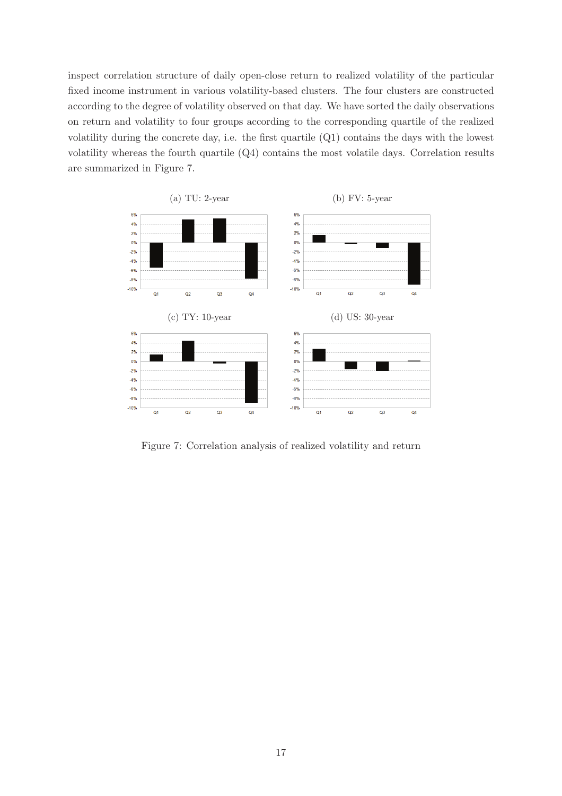inspect correlation structure of daily open-close return to realized volatility of the particular fixed income instrument in various volatility-based clusters. The four clusters are constructed according to the degree of volatility observed on that day. We have sorted the daily observations on return and volatility to four groups according to the corresponding quartile of the realized volatility during the concrete day, i.e. the first quartile (Q1) contains the days with the lowest volatility whereas the fourth quartile (Q4) contains the most volatile days. Correlation results are summarized in Figure 7.



Figure 7: Correlation analysis of realized volatility and return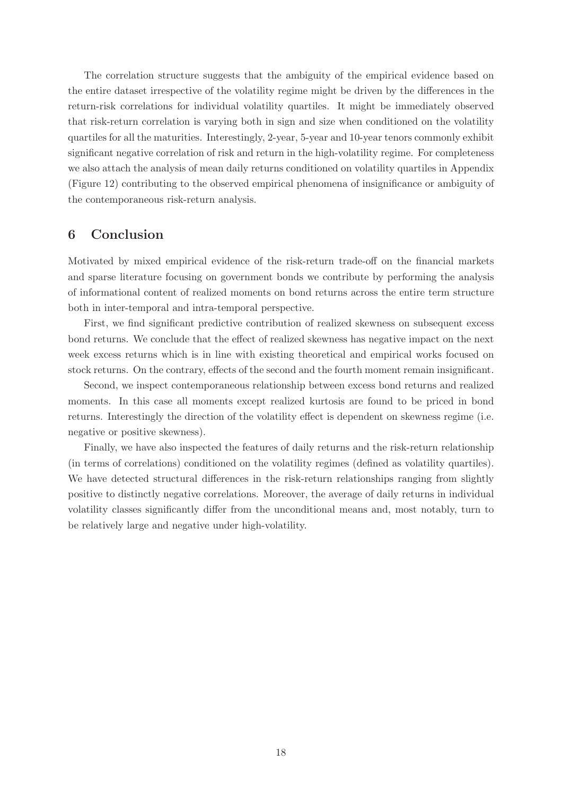The correlation structure suggests that the ambiguity of the empirical evidence based on the entire dataset irrespective of the volatility regime might be driven by the differences in the return-risk correlations for individual volatility quartiles. It might be immediately observed that risk-return correlation is varying both in sign and size when conditioned on the volatility quartiles for all the maturities. Interestingly, 2-year, 5-year and 10-year tenors commonly exhibit significant negative correlation of risk and return in the high-volatility regime. For completeness we also attach the analysis of mean daily returns conditioned on volatility quartiles in Appendix (Figure 12) contributing to the observed empirical phenomena of insignificance or ambiguity of the contemporaneous risk-return analysis.

## 6 Conclusion

Motivated by mixed empirical evidence of the risk-return trade-off on the financial markets and sparse literature focusing on government bonds we contribute by performing the analysis of informational content of realized moments on bond returns across the entire term structure both in inter-temporal and intra-temporal perspective.

First, we find significant predictive contribution of realized skewness on subsequent excess bond returns. We conclude that the effect of realized skewness has negative impact on the next week excess returns which is in line with existing theoretical and empirical works focused on stock returns. On the contrary, effects of the second and the fourth moment remain insignificant.

Second, we inspect contemporaneous relationship between excess bond returns and realized moments. In this case all moments except realized kurtosis are found to be priced in bond returns. Interestingly the direction of the volatility effect is dependent on skewness regime (i.e. negative or positive skewness).

Finally, we have also inspected the features of daily returns and the risk-return relationship (in terms of correlations) conditioned on the volatility regimes (defined as volatility quartiles). We have detected structural differences in the risk-return relationships ranging from slightly positive to distinctly negative correlations. Moreover, the average of daily returns in individual volatility classes significantly differ from the unconditional means and, most notably, turn to be relatively large and negative under high-volatility.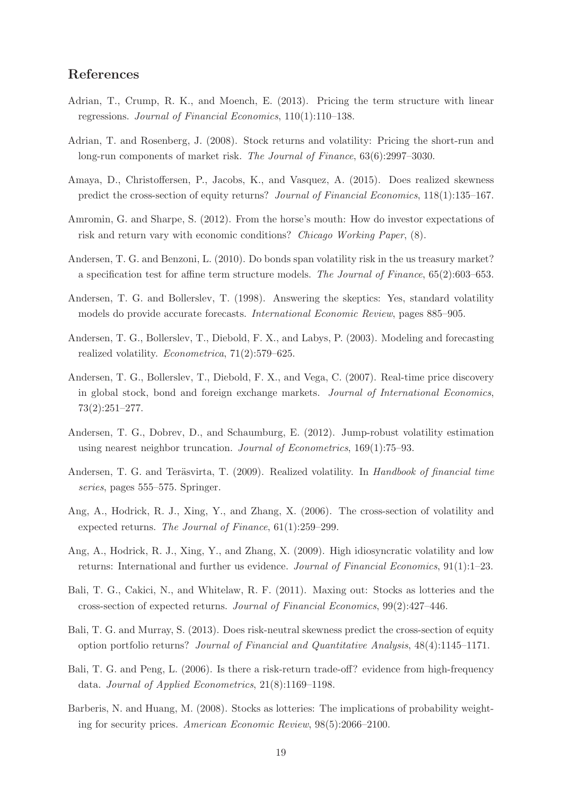#### References

- Adrian, T., Crump, R. K., and Moench, E. (2013). Pricing the term structure with linear regressions. Journal of Financial Economics, 110(1):110–138.
- Adrian, T. and Rosenberg, J. (2008). Stock returns and volatility: Pricing the short-run and long-run components of market risk. The Journal of Finance, 63(6):2997–3030.
- Amaya, D., Christoffersen, P., Jacobs, K., and Vasquez, A. (2015). Does realized skewness predict the cross-section of equity returns? Journal of Financial Economics, 118(1):135–167.
- Amromin, G. and Sharpe, S. (2012). From the horse's mouth: How do investor expectations of risk and return vary with economic conditions? Chicago Working Paper, (8).
- Andersen, T. G. and Benzoni, L. (2010). Do bonds span volatility risk in the us treasury market? a specification test for affine term structure models. The Journal of Finance, 65(2):603–653.
- Andersen, T. G. and Bollerslev, T. (1998). Answering the skeptics: Yes, standard volatility models do provide accurate forecasts. International Economic Review, pages 885–905.
- Andersen, T. G., Bollerslev, T., Diebold, F. X., and Labys, P. (2003). Modeling and forecasting realized volatility. Econometrica, 71(2):579–625.
- Andersen, T. G., Bollerslev, T., Diebold, F. X., and Vega, C. (2007). Real-time price discovery in global stock, bond and foreign exchange markets. Journal of International Economics, 73(2):251–277.
- Andersen, T. G., Dobrev, D., and Schaumburg, E. (2012). Jump-robust volatility estimation using nearest neighbor truncation. Journal of Econometrics, 169(1):75–93.
- Andersen, T. G. and Teräsvirta, T. (2009). Realized volatility. In Handbook of financial time series, pages 555–575. Springer.
- Ang, A., Hodrick, R. J., Xing, Y., and Zhang, X. (2006). The cross-section of volatility and expected returns. The Journal of Finance, 61(1):259–299.
- Ang, A., Hodrick, R. J., Xing, Y., and Zhang, X. (2009). High idiosyncratic volatility and low returns: International and further us evidence. Journal of Financial Economics, 91(1):1–23.
- Bali, T. G., Cakici, N., and Whitelaw, R. F. (2011). Maxing out: Stocks as lotteries and the cross-section of expected returns. Journal of Financial Economics, 99(2):427–446.
- Bali, T. G. and Murray, S. (2013). Does risk-neutral skewness predict the cross-section of equity option portfolio returns? Journal of Financial and Quantitative Analysis, 48(4):1145–1171.
- Bali, T. G. and Peng, L. (2006). Is there a risk-return trade-off? evidence from high-frequency data. Journal of Applied Econometrics, 21(8):1169–1198.
- Barberis, N. and Huang, M. (2008). Stocks as lotteries: The implications of probability weighting for security prices. American Economic Review, 98(5):2066–2100.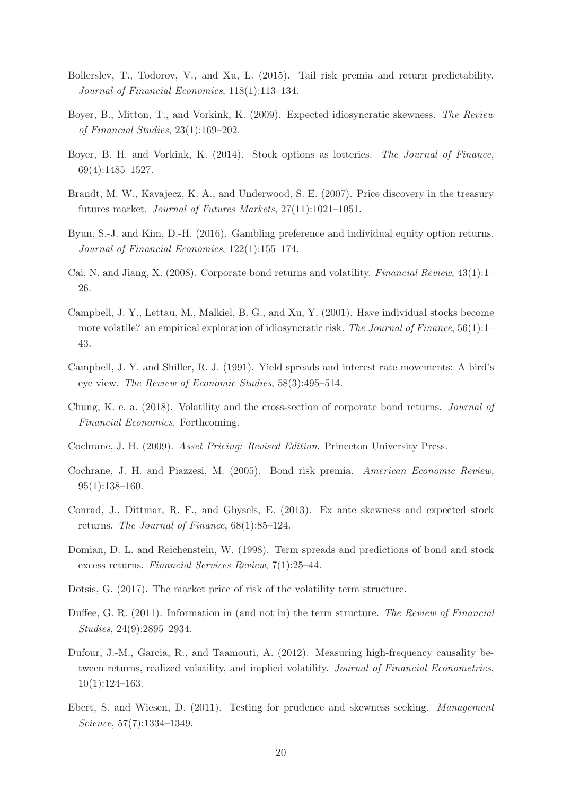- Bollerslev, T., Todorov, V., and Xu, L. (2015). Tail risk premia and return predictability. Journal of Financial Economics, 118(1):113–134.
- Boyer, B., Mitton, T., and Vorkink, K. (2009). Expected idiosyncratic skewness. The Review of Financial Studies, 23(1):169–202.
- Boyer, B. H. and Vorkink, K. (2014). Stock options as lotteries. The Journal of Finance, 69(4):1485–1527.
- Brandt, M. W., Kavajecz, K. A., and Underwood, S. E. (2007). Price discovery in the treasury futures market. Journal of Futures Markets, 27(11):1021–1051.
- Byun, S.-J. and Kim, D.-H. (2016). Gambling preference and individual equity option returns. Journal of Financial Economics, 122(1):155–174.
- Cai, N. and Jiang, X. (2008). Corporate bond returns and volatility. Financial Review, 43(1):1– 26.
- Campbell, J. Y., Lettau, M., Malkiel, B. G., and Xu, Y. (2001). Have individual stocks become more volatile? an empirical exploration of idiosyncratic risk. The Journal of Finance, 56(1):1– 43.
- Campbell, J. Y. and Shiller, R. J. (1991). Yield spreads and interest rate movements: A bird's eye view. The Review of Economic Studies, 58(3):495–514.
- Chung, K. e. a. (2018). Volatility and the cross-section of corporate bond returns. Journal of Financial Economics. Forthcoming.
- Cochrane, J. H. (2009). Asset Pricing: Revised Edition. Princeton University Press.
- Cochrane, J. H. and Piazzesi, M. (2005). Bond risk premia. American Economic Review, 95(1):138–160.
- Conrad, J., Dittmar, R. F., and Ghysels, E. (2013). Ex ante skewness and expected stock returns. The Journal of Finance, 68(1):85–124.
- Domian, D. L. and Reichenstein, W. (1998). Term spreads and predictions of bond and stock excess returns. Financial Services Review, 7(1):25–44.
- Dotsis, G. (2017). The market price of risk of the volatility term structure.
- Duffee, G. R. (2011). Information in (and not in) the term structure. The Review of Financial Studies, 24(9):2895–2934.
- Dufour, J.-M., Garcia, R., and Taamouti, A. (2012). Measuring high-frequency causality between returns, realized volatility, and implied volatility. Journal of Financial Econometrics, 10(1):124–163.
- Ebert, S. and Wiesen, D. (2011). Testing for prudence and skewness seeking. Management Science, 57(7):1334–1349.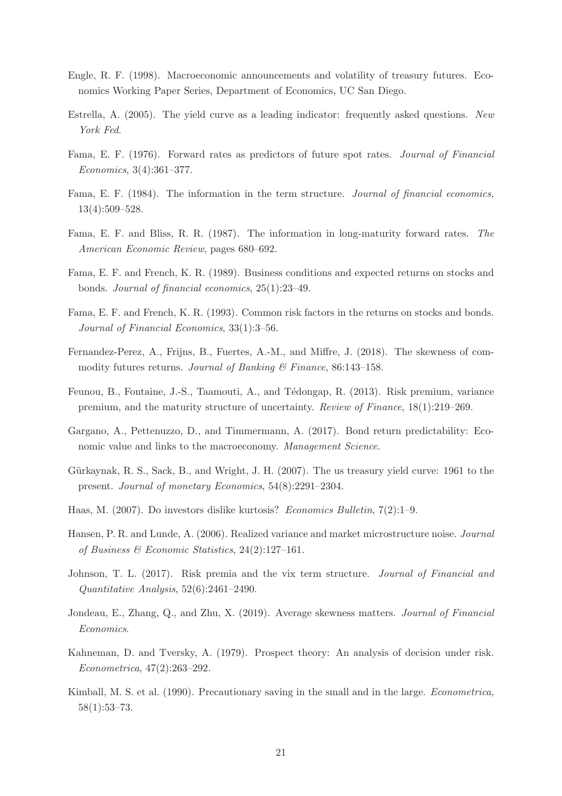- Engle, R. F. (1998). Macroeconomic announcements and volatility of treasury futures. Economics Working Paper Series, Department of Economics, UC San Diego.
- Estrella, A. (2005). The yield curve as a leading indicator: frequently asked questions. New York Fed.
- Fama, E. F. (1976). Forward rates as predictors of future spot rates. Journal of Financial Economics, 3(4):361–377.
- Fama, E. F. (1984). The information in the term structure. Journal of financial economics, 13(4):509–528.
- Fama, E. F. and Bliss, R. R. (1987). The information in long-maturity forward rates. The American Economic Review, pages 680–692.
- Fama, E. F. and French, K. R. (1989). Business conditions and expected returns on stocks and bonds. Journal of financial economics, 25(1):23–49.
- Fama, E. F. and French, K. R. (1993). Common risk factors in the returns on stocks and bonds. Journal of Financial Economics, 33(1):3–56.
- Fernandez-Perez, A., Frijns, B., Fuertes, A.-M., and Miffre, J. (2018). The skewness of commodity futures returns. Journal of Banking  $\mathcal B$  Finance, 86:143-158.
- Feunou, B., Fontaine, J.-S., Taamouti, A., and Tédongap, R. (2013). Risk premium, variance premium, and the maturity structure of uncertainty. Review of Finance, 18(1):219–269.
- Gargano, A., Pettenuzzo, D., and Timmermann, A. (2017). Bond return predictability: Economic value and links to the macroeconomy. Management Science.
- Gürkaynak, R. S., Sack, B., and Wright, J. H. (2007). The us treasury yield curve: 1961 to the present. Journal of monetary Economics, 54(8):2291–2304.
- Haas, M. (2007). Do investors dislike kurtosis? Economics Bulletin, 7(2):1–9.
- Hansen, P. R. and Lunde, A. (2006). Realized variance and market microstructure noise. Journal of Business & Economic Statistics,  $24(2):127-161$ .
- Johnson, T. L. (2017). Risk premia and the vix term structure. *Journal of Financial and* Quantitative Analysis, 52(6):2461–2490.
- Jondeau, E., Zhang, Q., and Zhu, X. (2019). Average skewness matters. Journal of Financial Economics.
- Kahneman, D. and Tversky, A. (1979). Prospect theory: An analysis of decision under risk. Econometrica, 47(2):263–292.
- Kimball, M. S. et al. (1990). Precautionary saving in the small and in the large. Econometrica, 58(1):53–73.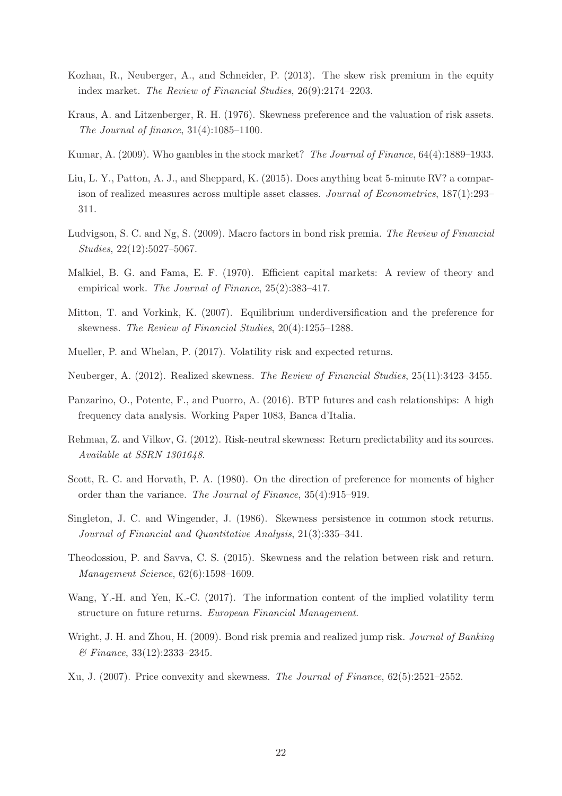- Kozhan, R., Neuberger, A., and Schneider, P. (2013). The skew risk premium in the equity index market. The Review of Financial Studies, 26(9):2174–2203.
- Kraus, A. and Litzenberger, R. H. (1976). Skewness preference and the valuation of risk assets. The Journal of finance, 31(4):1085–1100.
- Kumar, A. (2009). Who gambles in the stock market? The Journal of Finance, 64(4):1889–1933.
- Liu, L. Y., Patton, A. J., and Sheppard, K. (2015). Does anything beat 5-minute RV? a comparison of realized measures across multiple asset classes. Journal of Econometrics, 187(1):293– 311.
- Ludvigson, S. C. and Ng, S. (2009). Macro factors in bond risk premia. The Review of Financial Studies, 22(12):5027–5067.
- Malkiel, B. G. and Fama, E. F. (1970). Efficient capital markets: A review of theory and empirical work. The Journal of Finance, 25(2):383–417.
- Mitton, T. and Vorkink, K. (2007). Equilibrium underdiversification and the preference for skewness. The Review of Financial Studies, 20(4):1255–1288.
- Mueller, P. and Whelan, P. (2017). Volatility risk and expected returns.
- Neuberger, A. (2012). Realized skewness. The Review of Financial Studies, 25(11):3423–3455.
- Panzarino, O., Potente, F., and Puorro, A. (2016). BTP futures and cash relationships: A high frequency data analysis. Working Paper 1083, Banca d'Italia.
- Rehman, Z. and Vilkov, G. (2012). Risk-neutral skewness: Return predictability and its sources. Available at SSRN 1301648.
- Scott, R. C. and Horvath, P. A. (1980). On the direction of preference for moments of higher order than the variance. The Journal of Finance, 35(4):915–919.
- Singleton, J. C. and Wingender, J. (1986). Skewness persistence in common stock returns. Journal of Financial and Quantitative Analysis, 21(3):335–341.
- Theodossiou, P. and Savva, C. S. (2015). Skewness and the relation between risk and return. Management Science, 62(6):1598–1609.
- Wang, Y.-H. and Yen, K.-C. (2017). The information content of the implied volatility term structure on future returns. European Financial Management.
- Wright, J. H. and Zhou, H. (2009). Bond risk premia and realized jump risk. *Journal of Banking* & Finance, 33(12):2333–2345.
- Xu, J. (2007). Price convexity and skewness. The Journal of Finance, 62(5):2521–2552.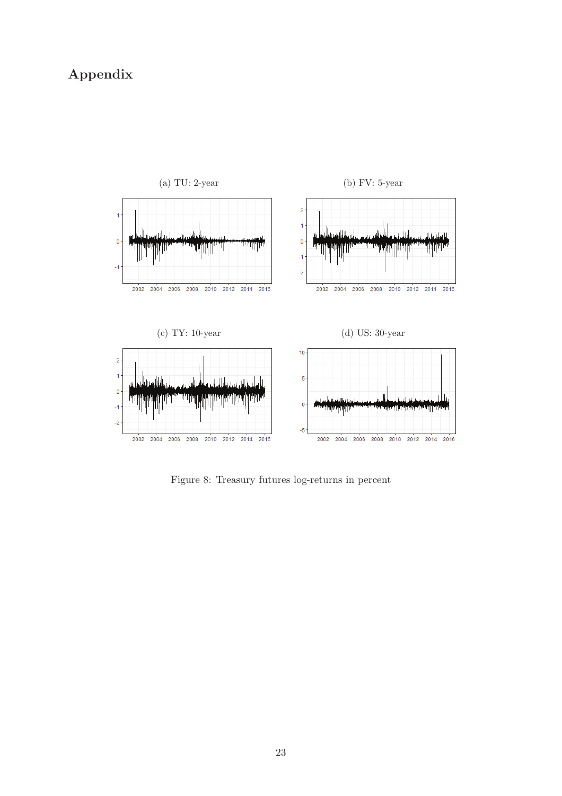# Appendix



Figure 8: Treasury futures log-returns in percent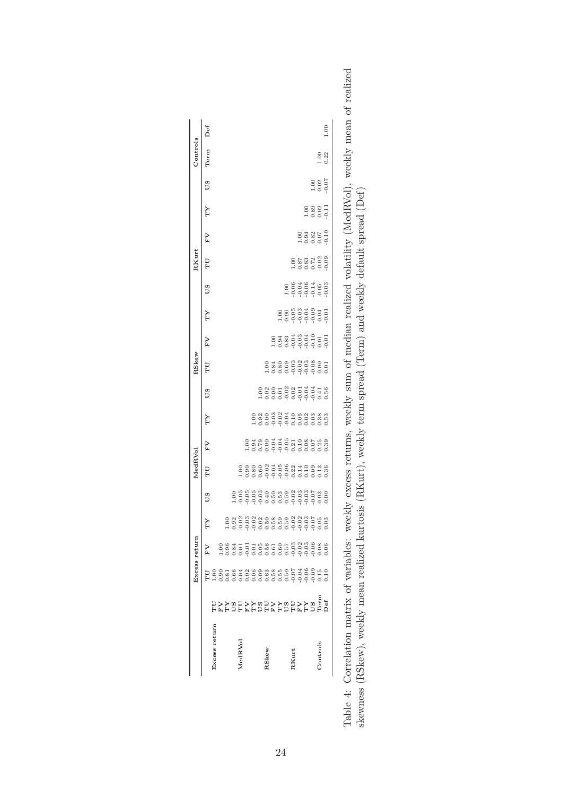|                   |                                                     |                                                                                                | Excess return |    |           |                                       |    |    |                          |                                                                |    |    |           | RKurt                 |                                                                         |               |                                                     | Controls       |      |
|-------------------|-----------------------------------------------------|------------------------------------------------------------------------------------------------|---------------|----|-----------|---------------------------------------|----|----|--------------------------|----------------------------------------------------------------|----|----|-----------|-----------------------|-------------------------------------------------------------------------|---------------|-----------------------------------------------------|----------------|------|
|                   |                                                     |                                                                                                | Σ,            | YT | <b>DS</b> | LD                                    | FV | ΥT | S.                       | ТU                                                             | FV | YL | <b>DS</b> | P                     | FV                                                                      | YL            | <b>DD</b>                                           | Term           | Def  |
| Excess return     |                                                     |                                                                                                |               |    |           |                                       |    |    |                          |                                                                |    |    |           |                       |                                                                         |               |                                                     |                |      |
|                   |                                                     |                                                                                                |               |    |           |                                       |    |    |                          |                                                                |    |    |           |                       |                                                                         |               |                                                     |                |      |
|                   |                                                     |                                                                                                |               |    |           |                                       |    |    |                          |                                                                |    |    |           |                       |                                                                         |               |                                                     |                |      |
|                   |                                                     |                                                                                                |               |    |           |                                       |    |    |                          |                                                                |    |    |           |                       |                                                                         |               |                                                     |                |      |
| MedRVol           |                                                     |                                                                                                |               |    |           |                                       |    |    |                          |                                                                |    |    |           |                       |                                                                         |               |                                                     |                |      |
|                   |                                                     |                                                                                                |               |    |           |                                       |    |    |                          |                                                                |    |    |           |                       |                                                                         |               |                                                     |                |      |
|                   |                                                     |                                                                                                |               |    |           |                                       |    |    |                          |                                                                |    |    |           |                       |                                                                         |               |                                                     |                |      |
|                   |                                                     |                                                                                                |               |    |           |                                       |    |    |                          |                                                                |    |    |           |                       |                                                                         |               |                                                     |                |      |
| RSkew             | ים<br>שפת לכם מלכם אלכם מלכם<br>מלכם מלכם מלכם מלכם | 1<br>1883 - 1899 - 1898 - 1898 - 1899 - 1899<br>1883 - 1899 - 1899 - 1899 - 1899 - 1899 - 1899 |               |    |           | 88888358831188138<br>8888358831188138 |    |    | 8885885345<br>8885885555 |                                                                |    |    |           |                       |                                                                         |               |                                                     |                |      |
|                   |                                                     |                                                                                                |               |    |           |                                       |    |    |                          |                                                                |    |    |           |                       |                                                                         |               |                                                     |                |      |
|                   |                                                     |                                                                                                |               |    |           |                                       |    |    |                          |                                                                |    |    |           |                       |                                                                         |               |                                                     |                |      |
|                   |                                                     |                                                                                                |               |    |           |                                       |    |    |                          |                                                                |    |    |           |                       |                                                                         |               |                                                     |                |      |
| RKurt             |                                                     |                                                                                                |               |    |           |                                       |    |    |                          | 00 300 300 300 500<br>00 300 500 500 500<br>00 500 500 500 500 |    |    |           |                       |                                                                         |               |                                                     |                |      |
|                   |                                                     |                                                                                                |               |    |           |                                       |    |    |                          |                                                                |    |    |           |                       |                                                                         |               |                                                     |                |      |
|                   |                                                     |                                                                                                |               |    |           |                                       |    |    |                          |                                                                |    |    |           |                       |                                                                         |               |                                                     |                |      |
|                   |                                                     |                                                                                                |               |    |           |                                       |    |    |                          |                                                                |    |    |           |                       |                                                                         |               |                                                     |                |      |
| $_{\rm Controls}$ |                                                     |                                                                                                |               |    |           |                                       |    |    |                          |                                                                |    |    |           | 88238<br>8825<br>8826 | 0<br>0<br>0<br>0<br>0<br>0<br>0<br>0<br>0<br>0<br>0<br>0<br>0<br>0<br>0 | 88835<br>1009 | $\begin{array}{c} 1.00 \\ 0.02 \\ 0.07 \end{array}$ | $1.00$<br>0.22 |      |
|                   |                                                     |                                                                                                |               |    |           |                                       |    |    |                          |                                                                |    |    |           |                       |                                                                         |               |                                                     |                | 1.00 |

| mality man of room                                                                                                                                        |                                                       |
|-----------------------------------------------------------------------------------------------------------------------------------------------------------|-------------------------------------------------------|
| ٠,<br>I<br>i<br>֧֧֧֧֧֧֧֧֧֧֧֧֧֧֧֧֧֧֧֧֧֧֛֚֚֚֚֚֚֚֚֚֝֝֝֓֕֝֓֕֓֕֓֬֝֓֝֬֝֓֬֝֬֝֬֝֬֝֬֓֝֬֝֬֓֝֬֝֬֝֬֝֬֝֬֝֬֝֬֝֬֝֬֝֬֝֬֝֬<br>֧֧֧֧֧֧֧֧֧֧֧֧֧֧֧֧֧֧֧֧֧֧֧֧֧֧֛֪֛֚֚֝֝֝֬ <b>֛</b> | ינו<br> <br> <br>J                                    |
| $\overline{\phantom{a}}$                                                                                                                                  | て ・・・・ くりじ てらく<br>$\overline{ }$                      |
| xx TCCLIFICG A COLOR AC TCCCLIFICG AT ALALACTER<br>フィー・エム シンセル<br>ソンスム                                                                                    | $\ddot{\phantom{a}}$<br>ĺ<br>l<br>֞                   |
| i<br>F<br>l<br>)<br>)<br>$\frac{1}{1}$                                                                                                                    | S M 11PT   THOOP THE TOPPO A<br>S<br>1<br>I<br>l<br>I |
| C<br>C<br>C<br>C<br>C<br>$\frac{1}{2}$                                                                                                                    | 1、 1、 1、 1、 1、 1、 1、 1、 1                             |
| トライトローク<br>l<br>ていきこくこく                                                                                                                                   | てくじ こうりょう こうりょう こうしゅう<br>,,,,,,<br>.<br>;             |
| J<br>:                                                                                                                                                    | $\overline{1}$<br>j<br>j                              |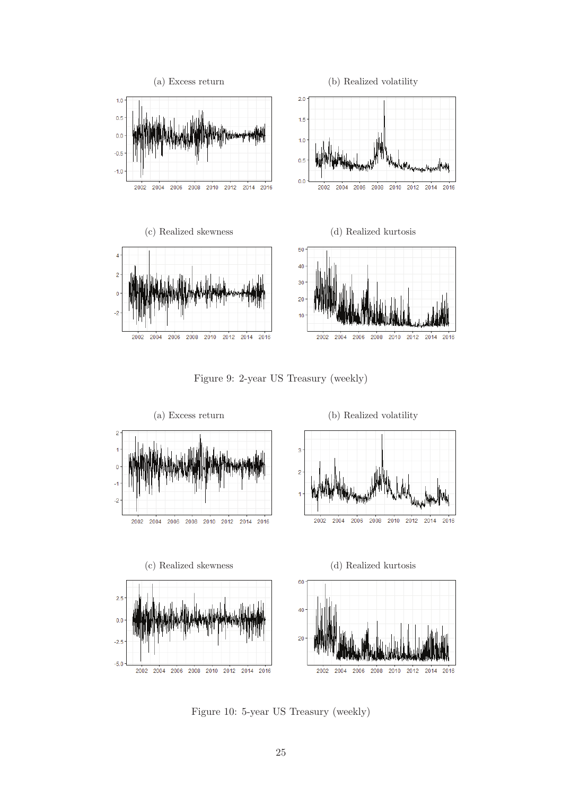





Figure 10: 5-year US Treasury (weekly)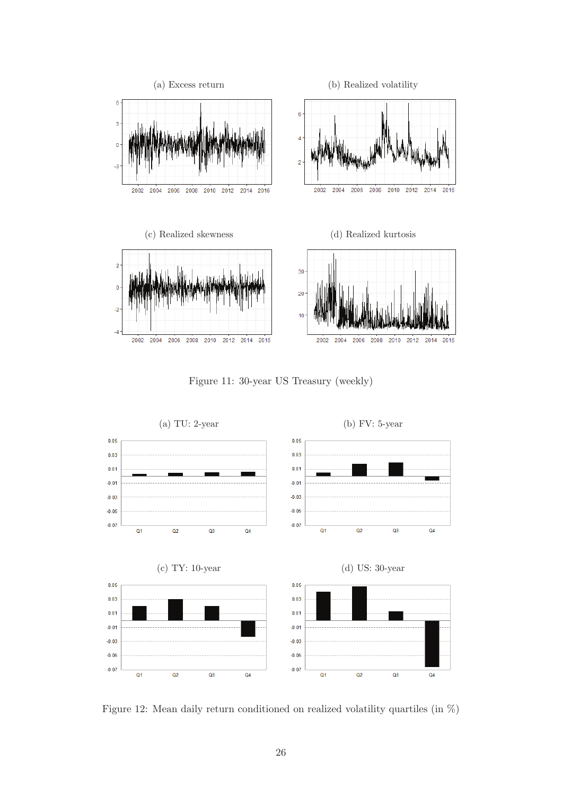

Figure 11: 30-year US Treasury (weekly)



Figure 12: Mean daily return conditioned on realized volatility quartiles (in %)